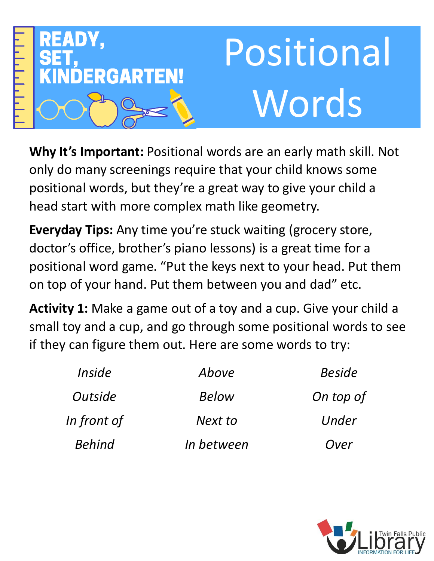

**Why It's Important:** Positional words are an early math skill. Not only do many screenings require that your child knows some positional words, but they're a great way to give your child a head start with more complex math like geometry.

**Everyday Tips:** Any time you're stuck waiting (grocery store, doctor's office, brother's piano lessons) is a great time for a positional word game. "Put the keys next to your head. Put them on top of your hand. Put them between you and dad" etc.

**Activity 1:** Make a game out of a toy and a cup. Give your child a small toy and a cup, and go through some positional words to see if they can figure them out. Here are some words to try:

| <i>Inside</i> | Above      | <b>Beside</b> |
|---------------|------------|---------------|
| Outside       | Below      | On top of     |
| In front of   | Next to    | Under         |
| <b>Behind</b> | In between | Over          |